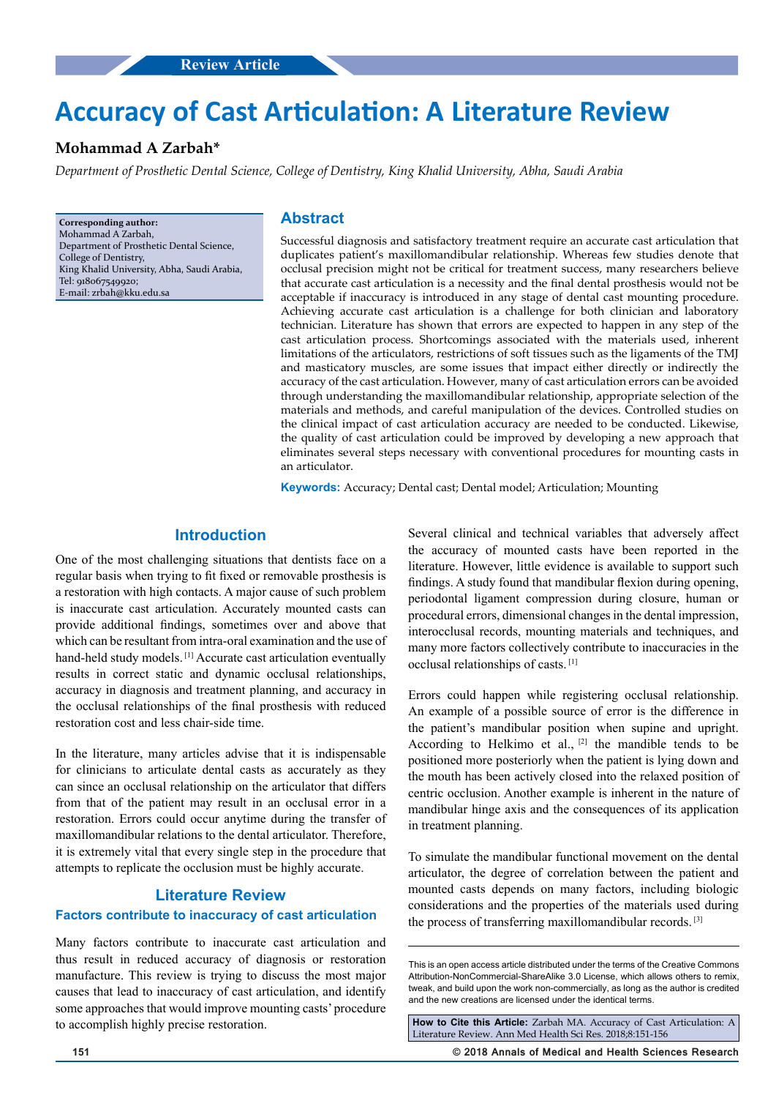# **Accuracy of Cast Articulation: A Literature Review**

## **Mohammad A Zarbah\***

*Department of Prosthetic Dental Science, College of Dentistry, King Khalid University, Abha, Saudi Arabia*

**Corresponding author:** Mohammad A Zarbah, Department of Prosthetic Dental Science, College of Dentistry, King Khalid University, Abha, Saudi Arabia, Tel: 918067549920; E-mail: zrbah@kku.edu.sa

## **Abstract**

Successful diagnosis and satisfactory treatment require an accurate cast articulation that duplicates patient's maxillomandibular relationship. Whereas few studies denote that occlusal precision might not be critical for treatment success, many researchers believe that accurate cast articulation is a necessity and the final dental prosthesis would not be acceptable if inaccuracy is introduced in any stage of dental cast mounting procedure. Achieving accurate cast articulation is a challenge for both clinician and laboratory technician. Literature has shown that errors are expected to happen in any step of the cast articulation process. Shortcomings associated with the materials used, inherent limitations of the articulators, restrictions of soft tissues such as the ligaments of the TMJ and masticatory muscles, are some issues that impact either directly or indirectly the accuracy of the cast articulation. However, many of cast articulation errors can be avoided through understanding the maxillomandibular relationship, appropriate selection of the materials and methods, and careful manipulation of the devices. Controlled studies on the clinical impact of cast articulation accuracy are needed to be conducted. Likewise, the quality of cast articulation could be improved by developing a new approach that eliminates several steps necessary with conventional procedures for mounting casts in an articulator.

**Keywords:** Accuracy; Dental cast; Dental model; Articulation; Mounting

## **Introduction**

One of the most challenging situations that dentists face on a regular basis when trying to fit fixed or removable prosthesis is a restoration with high contacts. A major cause of such problem is inaccurate cast articulation. Accurately mounted casts can provide additional findings, sometimes over and above that which can be resultant from intra-oral examination and the use of hand-held study models. [1] Accurate cast articulation eventually results in correct static and dynamic occlusal relationships, accuracy in diagnosis and treatment planning, and accuracy in the occlusal relationships of the final prosthesis with reduced restoration cost and less chair-side time.

In the literature, many articles advise that it is indispensable for clinicians to articulate dental casts as accurately as they can since an occlusal relationship on the articulator that differs from that of the patient may result in an occlusal error in a restoration. Errors could occur anytime during the transfer of maxillomandibular relations to the dental articulator. Therefore, it is extremely vital that every single step in the procedure that attempts to replicate the occlusion must be highly accurate.

## **Literature Review**

#### **Factors contribute to inaccuracy of cast articulation**

Many factors contribute to inaccurate cast articulation and thus result in reduced accuracy of diagnosis or restoration manufacture. This review is trying to discuss the most major causes that lead to inaccuracy of cast articulation, and identify some approaches that would improve mounting casts' procedure to accomplish highly precise restoration.

Several clinical and technical variables that adversely affect the accuracy of mounted casts have been reported in the literature. However, little evidence is available to support such findings. A study found that mandibular flexion during opening, periodontal ligament compression during closure, human or procedural errors, dimensional changes in the dental impression, interocclusal records, mounting materials and techniques, and many more factors collectively contribute to inaccuracies in the occlusal relationships of casts. [1]

Errors could happen while registering occlusal relationship. An example of a possible source of error is the difference in the patient's mandibular position when supine and upright. According to Helkimo et al.,  $[2]$  the mandible tends to be positioned more posteriorly when the patient is lying down and the mouth has been actively closed into the relaxed position of centric occlusion. Another example is inherent in the nature of mandibular hinge axis and the consequences of its application in treatment planning.

To simulate the mandibular functional movement on the dental articulator, the degree of correlation between the patient and mounted casts depends on many factors, including biologic considerations and the properties of the materials used during the process of transferring maxillomandibular records. [3]

**How to Cite this Article:** Zarbah MA. Accuracy of Cast Articulation: A Literature Review. Ann Med Health Sci Res. 2018;8:151-156

**151 © 2018 Annals of Medical and Health Sciences Research** 

This is an open access article distributed under the terms of the Creative Commons Attribution-NonCommercial-ShareAlike 3.0 License, which allows others to remix, tweak, and build upon the work non‑commercially, as long as the author is credited and the new creations are licensed under the identical terms.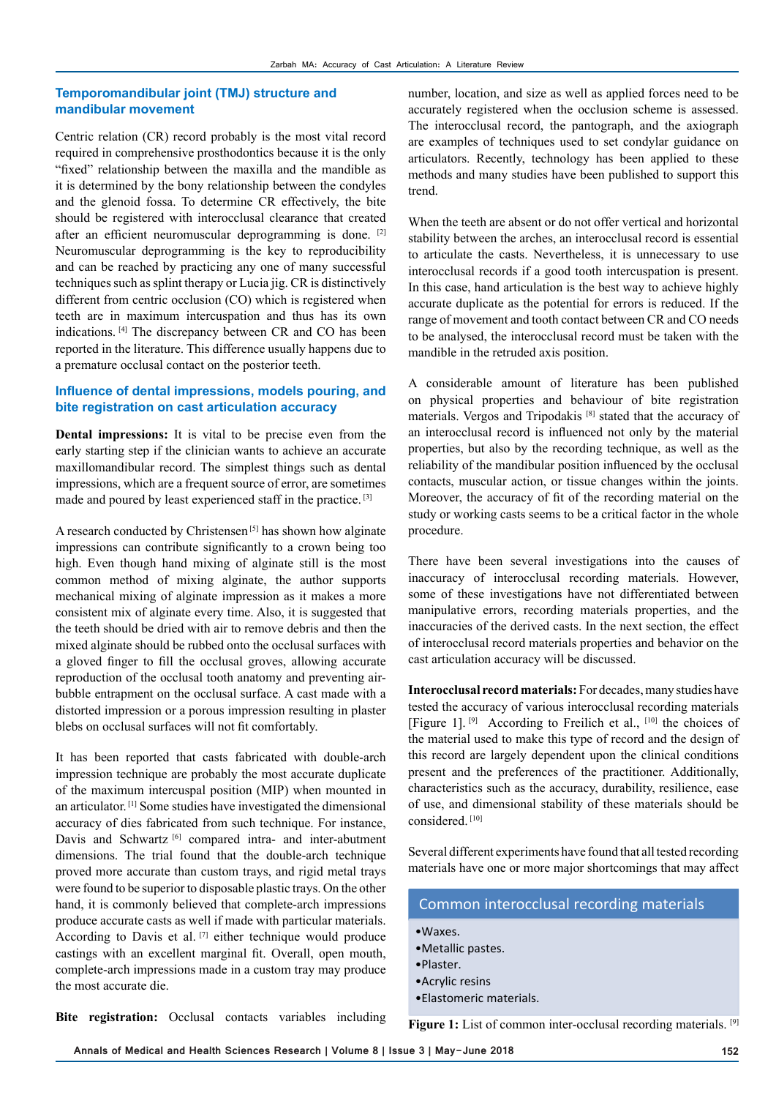#### **Temporomandibular joint (TMJ) structure and mandibular movement**

Centric relation (CR) record probably is the most vital record required in comprehensive prosthodontics because it is the only "fixed" relationship between the maxilla and the mandible as it is determined by the bony relationship between the condyles and the glenoid fossa. To determine CR effectively, the bite should be registered with interocclusal clearance that created after an efficient neuromuscular deprogramming is done. [2] Neuromuscular deprogramming is the key to reproducibility and can be reached by practicing any one of many successful techniques such as splint therapy or Lucia jig. CR is distinctively different from centric occlusion (CO) which is registered when teeth are in maximum intercuspation and thus has its own indications. [4] The discrepancy between CR and CO has been reported in the literature. This difference usually happens due to a premature occlusal contact on the posterior teeth.

## **Influence of dental impressions, models pouring, and bite registration on cast articulation accuracy**

**Dental impressions:** It is vital to be precise even from the early starting step if the clinician wants to achieve an accurate maxillomandibular record. The simplest things such as dental impressions, which are a frequent source of error, are sometimes made and poured by least experienced staff in the practice. [3]

A research conducted by Christensen [5] has shown how alginate impressions can contribute significantly to a crown being too high. Even though hand mixing of alginate still is the most common method of mixing alginate, the author supports mechanical mixing of alginate impression as it makes a more consistent mix of alginate every time. Also, it is suggested that the teeth should be dried with air to remove debris and then the mixed alginate should be rubbed onto the occlusal surfaces with a gloved finger to fill the occlusal groves, allowing accurate reproduction of the occlusal tooth anatomy and preventing airbubble entrapment on the occlusal surface. A cast made with a distorted impression or a porous impression resulting in plaster blebs on occlusal surfaces will not fit comfortably.

It has been reported that casts fabricated with double-arch impression technique are probably the most accurate duplicate of the maximum intercuspal position (MIP) when mounted in an articulator. [1] Some studies have investigated the dimensional accuracy of dies fabricated from such technique. For instance, Davis and Schwartz [6] compared intra- and inter-abutment dimensions. The trial found that the double-arch technique proved more accurate than custom trays, and rigid metal trays were found to be superior to disposable plastic trays. On the other hand, it is commonly believed that complete-arch impressions produce accurate casts as well if made with particular materials. According to Davis et al. [7] either technique would produce castings with an excellent marginal fit. Overall, open mouth, complete-arch impressions made in a custom tray may produce the most accurate die.

number, location, and size as well as applied forces need to be accurately registered when the occlusion scheme is assessed. The interocclusal record, the pantograph, and the axiograph are examples of techniques used to set condylar guidance on articulators. Recently, technology has been applied to these methods and many studies have been published to support this trend.

When the teeth are absent or do not offer vertical and horizontal stability between the arches, an interocclusal record is essential to articulate the casts. Nevertheless, it is unnecessary to use interocclusal records if a good tooth intercuspation is present. In this case, hand articulation is the best way to achieve highly accurate duplicate as the potential for errors is reduced. If the range of movement and tooth contact between CR and CO needs to be analysed, the interocclusal record must be taken with the mandible in the retruded axis position.

A considerable amount of literature has been published on physical properties and behaviour of bite registration materials. Vergos and Tripodakis [8] stated that the accuracy of an interocclusal record is influenced not only by the material properties, but also by the recording technique, as well as the reliability of the mandibular position influenced by the occlusal contacts, muscular action, or tissue changes within the joints. Moreover, the accuracy of fit of the recording material on the study or working casts seems to be a critical factor in the whole procedure.

There have been several investigations into the causes of inaccuracy of interocclusal recording materials. However, some of these investigations have not differentiated between manipulative errors, recording materials properties, and the inaccuracies of the derived casts. In the next section, the effect of interocclusal record materials properties and behavior on the cast articulation accuracy will be discussed.

**Interocclusal record materials:** For decades, many studies have tested the accuracy of various interocclusal recording materials [Figure 1].  $[9]$  According to Freilich et al.,  $[10]$  the choices of the material used to make this type of record and the design of this record are largely dependent upon the clinical conditions present and the preferences of the practitioner. Additionally, characteristics such as the accuracy, durability, resilience, ease of use, and dimensional stability of these materials should be considered. [10]

Several different experiments have found that all tested recording materials have one or more major shortcomings that may affect

## Common interocclusal recording materials

- •Waxes.
- •Metallic pastes.
- •Plaster.
- •Acrylic resins
- •Elastomeric materials.

**Bite registration:** Occlusal contacts variables including

**Figure 1:** List of common inter-occlusal recording materials. [9]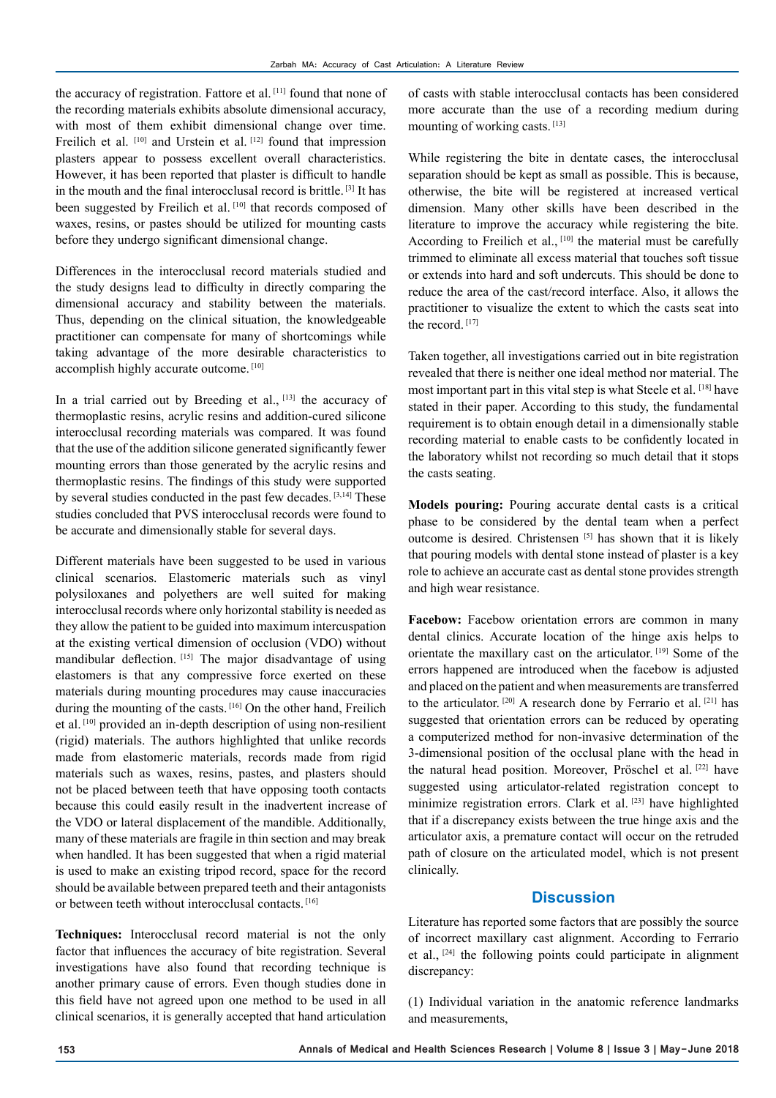the accuracy of registration. Fattore et al. [11] found that none of the recording materials exhibits absolute dimensional accuracy, with most of them exhibit dimensional change over time. Freilich et al. [10] and Urstein et al. [12] found that impression plasters appear to possess excellent overall characteristics. However, it has been reported that plaster is difficult to handle in the mouth and the final interocclusal record is brittle. [3] It has been suggested by Freilich et al. [10] that records composed of waxes, resins, or pastes should be utilized for mounting casts before they undergo significant dimensional change.

Differences in the interocclusal record materials studied and the study designs lead to difficulty in directly comparing the dimensional accuracy and stability between the materials. Thus, depending on the clinical situation, the knowledgeable practitioner can compensate for many of shortcomings while taking advantage of the more desirable characteristics to accomplish highly accurate outcome. [10]

In a trial carried out by Breeding et al., [13] the accuracy of thermoplastic resins, acrylic resins and addition-cured silicone interocclusal recording materials was compared. It was found that the use of the addition silicone generated significantly fewer mounting errors than those generated by the acrylic resins and thermoplastic resins. The findings of this study were supported by several studies conducted in the past few decades. [3,14] These studies concluded that PVS interocclusal records were found to be accurate and dimensionally stable for several days.

Different materials have been suggested to be used in various clinical scenarios. Elastomeric materials such as vinyl polysiloxanes and polyethers are well suited for making interocclusal records where only horizontal stability is needed as they allow the patient to be guided into maximum intercuspation at the existing vertical dimension of occlusion (VDO) without mandibular deflection. [15] The major disadvantage of using elastomers is that any compressive force exerted on these materials during mounting procedures may cause inaccuracies during the mounting of the casts. [16] On the other hand, Freilich et al. [10] provided an in-depth description of using non-resilient (rigid) materials. The authors highlighted that unlike records made from elastomeric materials, records made from rigid materials such as waxes, resins, pastes, and plasters should not be placed between teeth that have opposing tooth contacts because this could easily result in the inadvertent increase of the VDO or lateral displacement of the mandible. Additionally, many of these materials are fragile in thin section and may break when handled. It has been suggested that when a rigid material is used to make an existing tripod record, space for the record should be available between prepared teeth and their antagonists or between teeth without interocclusal contacts. [16]

**Techniques:** Interocclusal record material is not the only factor that influences the accuracy of bite registration. Several investigations have also found that recording technique is another primary cause of errors. Even though studies done in this field have not agreed upon one method to be used in all clinical scenarios, it is generally accepted that hand articulation

of casts with stable interocclusal contacts has been considered more accurate than the use of a recording medium during mounting of working casts. [13]

While registering the bite in dentate cases, the interocclusal separation should be kept as small as possible. This is because, otherwise, the bite will be registered at increased vertical dimension. Many other skills have been described in the literature to improve the accuracy while registering the bite. According to Freilich et al.,  $[10]$  the material must be carefully trimmed to eliminate all excess material that touches soft tissue or extends into hard and soft undercuts. This should be done to reduce the area of the cast/record interface. Also, it allows the practitioner to visualize the extent to which the casts seat into the record. [17]

Taken together, all investigations carried out in bite registration revealed that there is neither one ideal method nor material. The most important part in this vital step is what Steele et al. [18] have stated in their paper. According to this study, the fundamental requirement is to obtain enough detail in a dimensionally stable recording material to enable casts to be confidently located in the laboratory whilst not recording so much detail that it stops the casts seating.

**Models pouring:** Pouring accurate dental casts is a critical phase to be considered by the dental team when a perfect outcome is desired. Christensen [5] has shown that it is likely that pouring models with dental stone instead of plaster is a key role to achieve an accurate cast as dental stone provides strength and high wear resistance.

Facebow: Facebow orientation errors are common in many dental clinics. Accurate location of the hinge axis helps to orientate the maxillary cast on the articulator. [19] Some of the errors happened are introduced when the facebow is adjusted and placed on the patient and when measurements are transferred to the articulator.<sup>[20]</sup> A research done by Ferrario et al.<sup>[21]</sup> has suggested that orientation errors can be reduced by operating a computerized method for non-invasive determination of the 3-dimensional position of the occlusal plane with the head in the natural head position. Moreover, Pröschel et al. [22] have suggested using articulator-related registration concept to minimize registration errors. Clark et al. [23] have highlighted that if a discrepancy exists between the true hinge axis and the articulator axis, a premature contact will occur on the retruded path of closure on the articulated model, which is not present clinically.

## **Discussion**

Literature has reported some factors that are possibly the source of incorrect maxillary cast alignment. According to Ferrario et al., [24] the following points could participate in alignment discrepancy:

(1) Individual variation in the anatomic reference landmarks and measurements,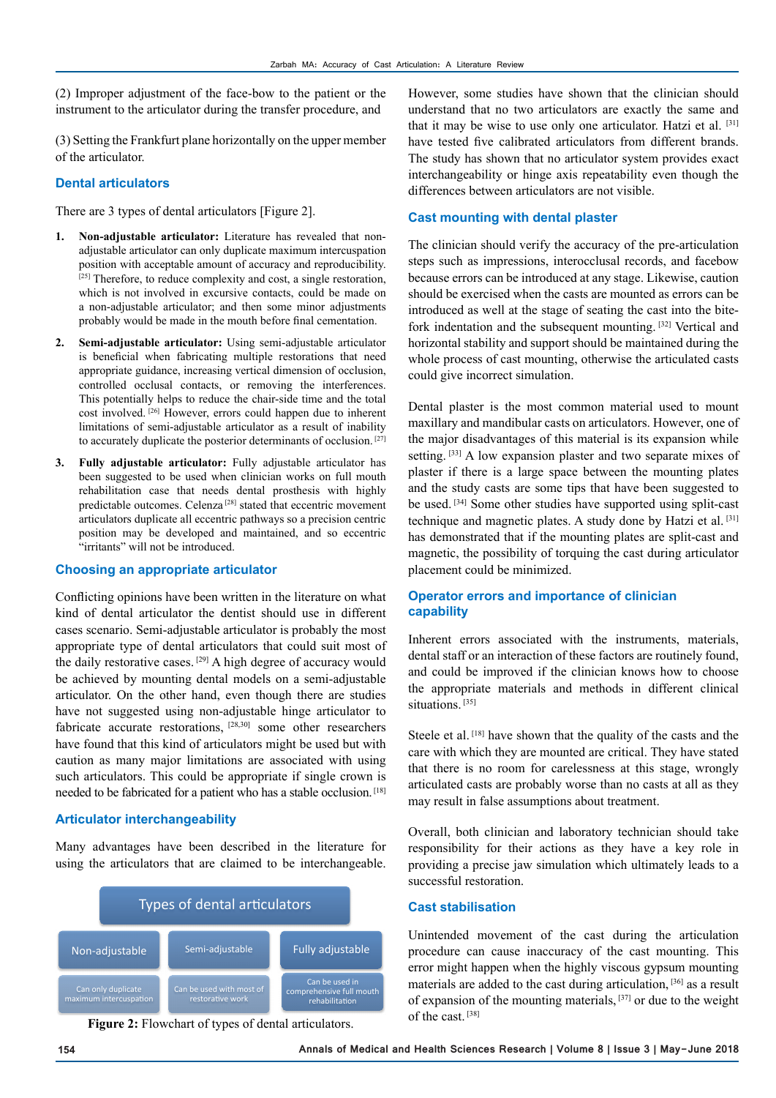(2) Improper adjustment of the face-bow to the patient or the instrument to the articulator during the transfer procedure, and

(3) Setting the Frankfurt plane horizontally on the upper member of the articulator.

#### **Dental articulators**

There are 3 types of dental articulators [Figure 2].

- **1. Non-adjustable articulator:** Literature has revealed that nonadjustable articulator can only duplicate maximum intercuspation position with acceptable amount of accuracy and reproducibility.  $^{[25]}$  Therefore, to reduce complexity and cost, a single restoration, which is not involved in excursive contacts, could be made on a non-adjustable articulator; and then some minor adjustments probably would be made in the mouth before final cementation.
- **2. Semi-adjustable articulator:** Using semi-adjustable articulator is beneficial when fabricating multiple restorations that need appropriate guidance, increasing vertical dimension of occlusion, controlled occlusal contacts, or removing the interferences. This potentially helps to reduce the chair-side time and the total cost involved. [26] However, errors could happen due to inherent limitations of semi-adjustable articulator as a result of inability to accurately duplicate the posterior determinants of occlusion. [27]
- **3. Fully adjustable articulator:** Fully adjustable articulator has been suggested to be used when clinician works on full mouth rehabilitation case that needs dental prosthesis with highly predictable outcomes. Celenza<sup>[28]</sup> stated that eccentric movement articulators duplicate all eccentric pathways so a precision centric position may be developed and maintained, and so eccentric "irritants" will not be introduced.

#### **Choosing an appropriate articulator**

Conflicting opinions have been written in the literature on what kind of dental articulator the dentist should use in different cases scenario. Semi-adjustable articulator is probably the most appropriate type of dental articulators that could suit most of the daily restorative cases. <sup>[29]</sup> A high degree of accuracy would be achieved by mounting dental models on a semi-adjustable articulator. On the other hand, even though there are studies have not suggested using non-adjustable hinge articulator to fabricate accurate restorations, <sup>[28,30]</sup> some other researchers have found that this kind of articulators might be used but with caution as many major limitations are associated with using such articulators. This could be appropriate if single crown is needed to be fabricated for a patient who has a stable occlusion. [18]

#### **Articulator interchangeability**

Many advantages have been described in the literature for using the articulators that are claimed to be interchangeable.



**Figure 2:** Flowchart of types of dental articulators.

However, some studies have shown that the clinician should understand that no two articulators are exactly the same and that it may be wise to use only one articulator. Hatzi et al. [31] have tested five calibrated articulators from different brands. The study has shown that no articulator system provides exact interchangeability or hinge axis repeatability even though the differences between articulators are not visible.

#### **Cast mounting with dental plaster**

The clinician should verify the accuracy of the pre-articulation steps such as impressions, interocclusal records, and facebow because errors can be introduced at any stage. Likewise, caution should be exercised when the casts are mounted as errors can be introduced as well at the stage of seating the cast into the bitefork indentation and the subsequent mounting. [32] Vertical and horizontal stability and support should be maintained during the whole process of cast mounting, otherwise the articulated casts could give incorrect simulation.

Dental plaster is the most common material used to mount maxillary and mandibular casts on articulators. However, one of the major disadvantages of this material is its expansion while setting. <sup>[33]</sup> A low expansion plaster and two separate mixes of plaster if there is a large space between the mounting plates and the study casts are some tips that have been suggested to be used. [34] Some other studies have supported using split-cast technique and magnetic plates. A study done by Hatzi et al. [31] has demonstrated that if the mounting plates are split-cast and magnetic, the possibility of torquing the cast during articulator placement could be minimized.

#### **Operator errors and importance of clinician capability**

Inherent errors associated with the instruments, materials, dental staff or an interaction of these factors are routinely found, and could be improved if the clinician knows how to choose the appropriate materials and methods in different clinical situations.<sup>[35]</sup>

Steele et al. [18] have shown that the quality of the casts and the care with which they are mounted are critical. They have stated that there is no room for carelessness at this stage, wrongly articulated casts are probably worse than no casts at all as they may result in false assumptions about treatment.

Overall, both clinician and laboratory technician should take responsibility for their actions as they have a key role in providing a precise jaw simulation which ultimately leads to a successful restoration.

#### **Cast stabilisation**

Unintended movement of the cast during the articulation procedure can cause inaccuracy of the cast mounting. This error might happen when the highly viscous gypsum mounting materials are added to the cast during articulation, [36] as a result of expansion of the mounting materials,  $[37]$  or due to the weight of the cast. [38]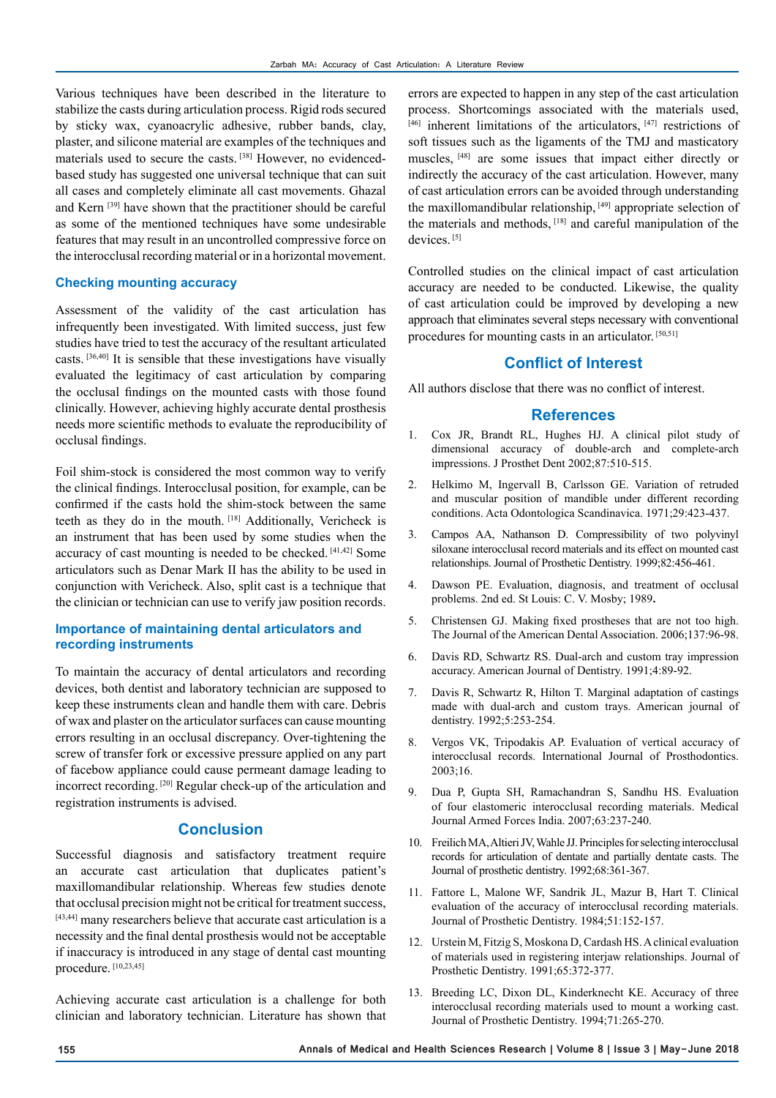Various techniques have been described in the literature to stabilize the casts during articulation process. Rigid rods secured by sticky wax, cyanoacrylic adhesive, rubber bands, clay, plaster, and silicone material are examples of the techniques and materials used to secure the casts. [38] However, no evidencedbased study has suggested one universal technique that can suit all cases and completely eliminate all cast movements. Ghazal and Kern [39] have shown that the practitioner should be careful as some of the mentioned techniques have some undesirable features that may result in an uncontrolled compressive force on the interocclusal recording material or in a horizontal movement.

#### **Checking mounting accuracy**

Assessment of the validity of the cast articulation has infrequently been investigated. With limited success, just few studies have tried to test the accuracy of the resultant articulated casts. [36,40] It is sensible that these investigations have visually evaluated the legitimacy of cast articulation by comparing the occlusal findings on the mounted casts with those found clinically. However, achieving highly accurate dental prosthesis needs more scientific methods to evaluate the reproducibility of occlusal findings.

Foil shim-stock is considered the most common way to verify the clinical findings. Interocclusal position, for example, can be confirmed if the casts hold the shim-stock between the same teeth as they do in the mouth. [18] Additionally, Vericheck is an instrument that has been used by some studies when the accuracy of cast mounting is needed to be checked. [41,42] Some articulators such as Denar Mark II has the ability to be used in conjunction with Vericheck. Also, split cast is a technique that the clinician or technician can use to verify jaw position records.

## **Importance of maintaining dental articulators and recording instruments**

To maintain the accuracy of dental articulators and recording devices, both dentist and laboratory technician are supposed to keep these instruments clean and handle them with care. Debris of wax and plaster on the articulator surfaces can cause mounting errors resulting in an occlusal discrepancy. Over-tightening the screw of transfer fork or excessive pressure applied on any part of facebow appliance could cause permeant damage leading to incorrect recording. [20] Regular check-up of the articulation and registration instruments is advised.

## **Conclusion**

Successful diagnosis and satisfactory treatment require an accurate cast articulation that duplicates patient's maxillomandibular relationship. Whereas few studies denote that occlusal precision might not be critical for treatment success, [43,44] many researchers believe that accurate cast articulation is a necessity and the final dental prosthesis would not be acceptable if inaccuracy is introduced in any stage of dental cast mounting procedure. [10,23,45]

Achieving accurate cast articulation is a challenge for both clinician and laboratory technician. Literature has shown that

errors are expected to happen in any step of the cast articulation process. Shortcomings associated with the materials used,  $[46]$  inherent limitations of the articulators,  $[47]$  restrictions of soft tissues such as the ligaments of the TMJ and masticatory muscles, [48] are some issues that impact either directly or indirectly the accuracy of the cast articulation. However, many of cast articulation errors can be avoided through understanding the maxillomandibular relationship, [49] appropriate selection of the materials and methods, [18] and careful manipulation of the devices<sup>[5]</sup>

Controlled studies on the clinical impact of cast articulation accuracy are needed to be conducted. Likewise, the quality of cast articulation could be improved by developing a new approach that eliminates several steps necessary with conventional procedures for mounting casts in an articulator. [50,51]

## **Conflict of Interest**

All authors disclose that there was no conflict of interest.

#### **References**

- 1. Cox JR, Brandt RL, Hughes HJ. A clinical pilot study of dimensional accuracy of double-arch and complete-arch impressions. J Prosthet Dent 2002;87:510-515.
- 2. Helkimo M, Ingervall B, Carlsson GE. Variation of retruded and muscular position of mandible under different recording conditions. Acta Odontologica Scandinavica. 1971;29:423-437.
- 3. Campos AA, Nathanson D. Compressibility of two polyvinyl siloxane interocclusal record materials and its effect on mounted cast relationships. Journal of Prosthetic Dentistry. 1999;82:456-461.
- 4. Dawson PE. Evaluation, diagnosis, and treatment of occlusal problems. 2nd ed. St Louis: C. V. Mosby; 1989**.**
- 5. Christensen GJ. Making fixed prostheses that are not too high. The Journal of the American Dental Association. 2006;137:96-98.
- 6. Davis RD, Schwartz RS. Dual-arch and custom tray impression accuracy. American Journal of Dentistry. 1991;4:89-92.
- 7. Davis R, Schwartz R, Hilton T. Marginal adaptation of castings made with dual-arch and custom trays. American journal of dentistry. 1992;5:253-254.
- 8. Vergos VK, Tripodakis AP. Evaluation of vertical accuracy of interocclusal records. International Journal of Prosthodontics. 2003;16.
- 9. Dua P, Gupta SH, Ramachandran S, Sandhu HS. Evaluation of four elastomeric interocclusal recording materials. Medical Journal Armed Forces India. 2007;63:237-240.
- 10. Freilich MA, Altieri JV, Wahle JJ. Principles for selecting interocclusal records for articulation of dentate and partially dentate casts. The Journal of prosthetic dentistry. 1992;68:361-367.
- 11. Fattore L, Malone WF, Sandrik JL, Mazur B, Hart T. Clinical evaluation of the accuracy of interocclusal recording materials. Journal of Prosthetic Dentistry. 1984;51:152-157.
- 12. Urstein M, Fitzig S, Moskona D, Cardash HS. A clinical evaluation of materials used in registering interjaw relationships. Journal of Prosthetic Dentistry. 1991;65:372-377.
- 13. Breeding LC, Dixon DL, Kinderknecht KE. Accuracy of three interocclusal recording materials used to mount a working cast. Journal of Prosthetic Dentistry. 1994;71:265-270.